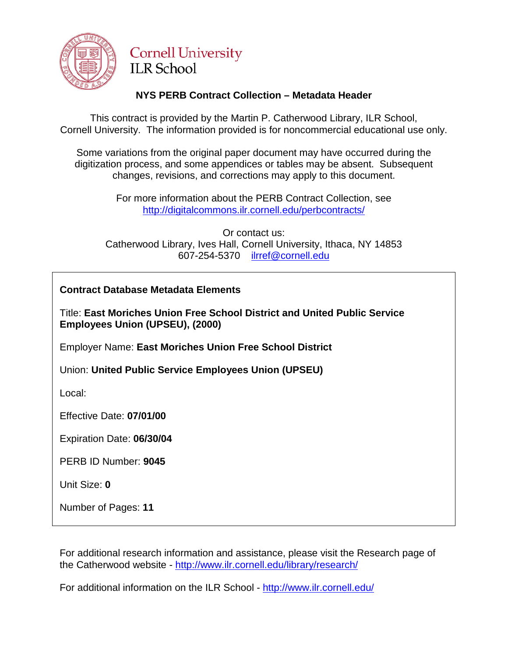

### **Cornell University ILR School**

#### **NYS PERB Contract Collection – Metadata Header**

This contract is provided by the Martin P. Catherwood Library, ILR School, Cornell University. The information provided is for noncommercial educational use only.

Some variations from the original paper document may have occurred during the digitization process, and some appendices or tables may be absent. Subsequent changes, revisions, and corrections may apply to this document.

> For more information about the PERB Contract Collection, see http://digitalcommons.ilr.cornell.edu/perbcontracts/

Or contact us: Catherwood Library, Ives Hall, Cornell University, Ithaca, NY 14853 607-254-5370 [ilrref@cornell.edu](mailto:ilrref@cornell.edu)

| <b>Contract Database Metadata Elements</b>                                                                   |  |  |
|--------------------------------------------------------------------------------------------------------------|--|--|
| Title: East Moriches Union Free School District and United Public Service<br>Employees Union (UPSEU), (2000) |  |  |
| <b>Employer Name: East Moriches Union Free School District</b>                                               |  |  |
| Union: United Public Service Employees Union (UPSEU)                                                         |  |  |
| Local:                                                                                                       |  |  |
| Effective Date: 07/01/00                                                                                     |  |  |
| Expiration Date: 06/30/04                                                                                    |  |  |
| PERB ID Number: 9045                                                                                         |  |  |
| Unit Size: 0                                                                                                 |  |  |
| Number of Pages: 11                                                                                          |  |  |

For additional research information and assistance, please visit the Research page of the Catherwood website - <http://www.ilr.cornell.edu/library/research/>

For additional information on the ILR School - <http://www.ilr.cornell.edu/>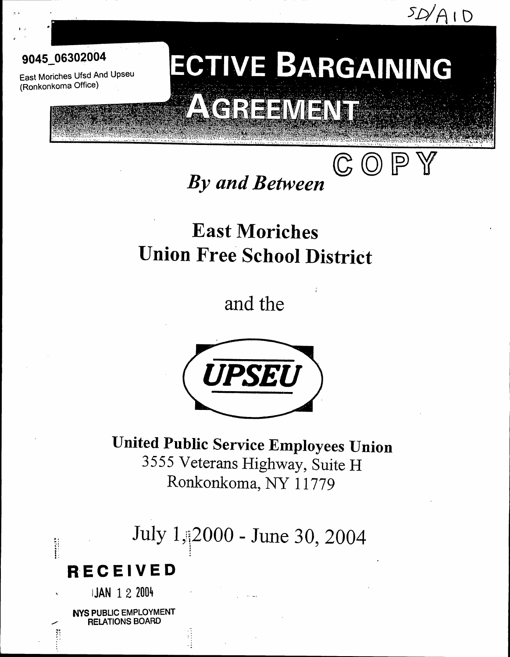$5D/A1D$ 



I

East Moriches Ufsd And Upseu (Ronkonkoma Office) .

# ECTIVE BARGAINING **A VEREEWENT**

 $\mathbb{G}\left( 0\right) \mathbb{P}$ 

## *By and Between*

## East Moriches Union Free School District

and the



United Public Service Employees Union 3555 Veterans Highway, Suite H Ronkonkoma, NY 11779

July 1,:j2000 - June 30, 2004 !<br>!

## **RECEIVED**

IJAN 1 2 2004

 $\ddot{\ddot{\textbf{i}}}$ *i"*. " . "

"

... , ,

NYS PUBLIC EMPLOYMENT RELATIONS BOARD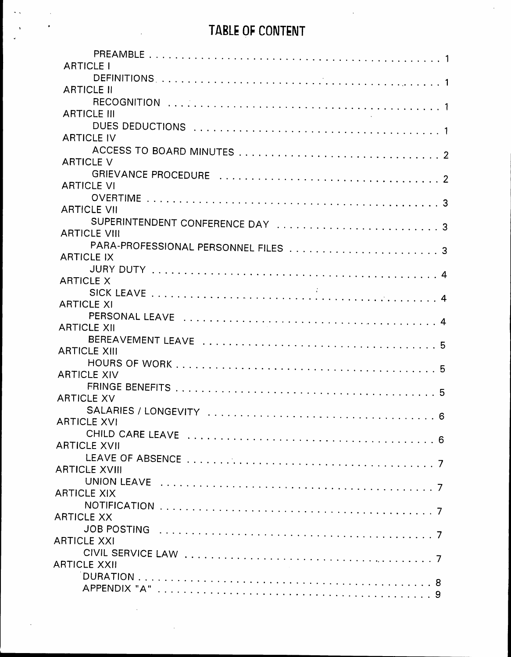## TABLE OF CONTENT

| <b>ARTICLE I</b>                |  |
|---------------------------------|--|
|                                 |  |
| <b>ARTICLE II</b>               |  |
|                                 |  |
| <b>ARTICLE III</b>              |  |
| <b>ARTICLE IV</b>               |  |
|                                 |  |
| <b>ARTICLE V</b>                |  |
|                                 |  |
| <b>ARTICLE VI</b>               |  |
|                                 |  |
| <b>ARTICLE VII</b>              |  |
| SUPERINTENDENT CONFERENCE DAY 3 |  |
| <b>ARTICLE VIII</b>             |  |
|                                 |  |
| <b>ARTICLE IX</b>               |  |
|                                 |  |
| <b>ARTICLE X</b>                |  |
|                                 |  |
| <b>ARTICLE XI</b>               |  |
|                                 |  |
| <b>ARTICLE XII</b>              |  |
|                                 |  |
| <b>ARTICLE XIII</b>             |  |
| <b>ARTICLE XIV</b>              |  |
|                                 |  |
| <b>ARTICLE XV</b>               |  |
|                                 |  |
| <b>ARTICLE XVI</b>              |  |
|                                 |  |
| <b>ARTICLE XVII</b>             |  |
|                                 |  |
| <b>ARTICLE XVIII</b>            |  |
|                                 |  |
| <b>ARTICLE XIX</b>              |  |
|                                 |  |
| <b>ARTICLE XX</b>               |  |
|                                 |  |
| <b>ARTICLE XXI</b>              |  |
|                                 |  |
| <b>ARTICLE XXII</b>             |  |
|                                 |  |
| Q                               |  |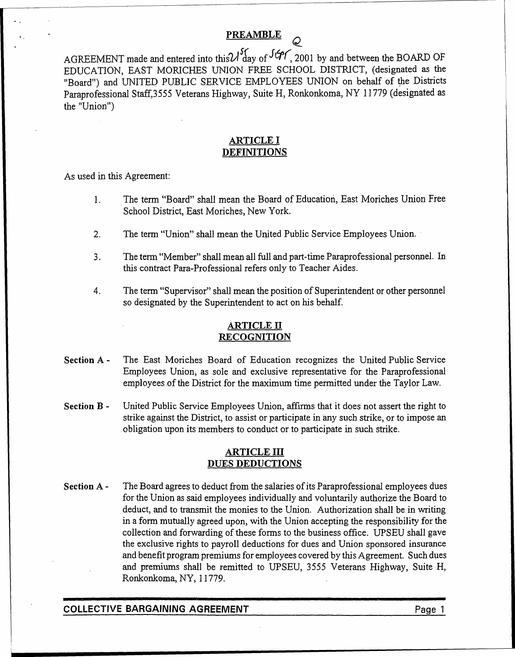#### PREAMBLE *Q*

AGREEMENT made and entered into this  $U_1$  day of  $947$ , 2001 by and between the BOARD OF EDUCATION, EAST MORICHES UNION FREE SCHOOL DISTRICT, (designated as the "Board") and UNITED PUBLIC SERVICE EMPLOYEES UNION on behalf of the Districts Paraprofessional Staff,3555 Veterans Highway, Suite H, Ronkonkoma, NY 11779 (designated as the "Union")

#### ARTICLE I **DEFINITIONS**

As used in this Agreement:

, .

- 1. The term "Board" shall mean the Board of Education, East Moriches Union Free School District, East Moriches, New York.
- 2. The term "Union" shall mean the United Public Service Employees Union.
- 3. The term "Member" shall mean all full and part-time Paraprofessional personnel. In this contract Para-Professional refers only to Teacher Aides.
- 4. The term "Supervisor" shall mean the position of Superintendent or other personnel so designated by the Superintendent to act on his behalf.

#### ARTICLE II RECOGNITION

- Section <sup>A</sup> The East Moriches Board of Education recognizes the United Public Service Employees Union, as sole and exclusive representative for the Paraprofessional employees of the District for the maximum time permitted under the Taylor Law.
- Section B United Public Service Employees Union, affirms that it does not assert the right to strike against the District, to assist or participate in any such strike, or to impose an obligation upon its members to conduct or to participate in such strike.

#### ARTICLE III DUES DEDUCTIONS

Section A - The Board agrees to deduct from the salaries of its Paraprofessional employees dues for the Union as said employees individually and voluntarily authorize the Board to deduct, and to transmit the monies to the Union. Authorization shall be in writing in a form mutually agreed upon, with the Union accepting the responsibility for the collection and forwarding of these forms to the business office. UPSEU shall gave the exclusive rights to payroll deductions for dues and Union sponsored insurance and benefit program premiums for employees covered by this Agreement. Such dues and premiums shall be remitted to UPSED, 3555 Veterans Highway, Suite H, Ronkonkoma, NY, 11779.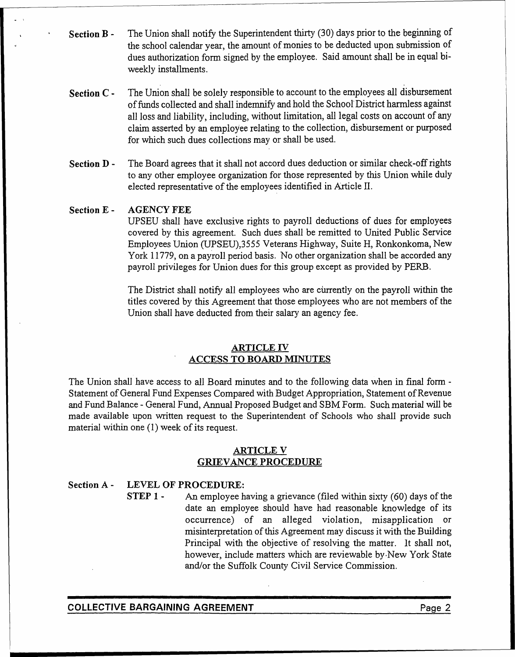- Section <sup>B</sup> The Union shall notify the Superintendent thirty (30) days prior to the beginning of the school calendar year, the amount of monies to be deducted upon submission of dues authorization form signed by the employee. Said amount shall be in equal biweekly installments.
- Section <sup>C</sup> . . The Union shall be solely responsible to account to the employees all disbursement offunds collected and shall indemnify and hold the Schoo1"District harmless against all loss and liability, including, without limitation, all legal costs on account of any claim asserted by an employee relating to the collection, disbursement or purposed for which such dues collections may or shall be used.
- Section D The Board agrees that it shall not accord dues deduction or similar check-off rights to any other employee organization for those represented by this Union while duly elected representative of the employees identified in Article II.

#### Section E - AGENCY FEE

UPSEU shall have exclusive rights to payroll deductions of dues for employees covered by this agreement. Such dues shall be remitted to United Public Service Employees Union (UPSEU),3555 Veterans Highway, Suite H, Ronkonkoma, New York 11779, on a payroll period basis. No other organization shall be accorded any payroll privileges for Union dues for this group except as provided by PERB.

The District shall notify all employees who are currently on the payroll within the titles covered by this Agreement that those employees who are not members of the Union shall have deducted from their salary an agency fee.

#### ARTICLE IV ACCESS TO BOARD MINUTES

The Union shall have access to all Board minutes and to the following data when in final form - Statement of General Fund Expenses Compared with Budget Appropriation, Statement of Revenue and Fund Balance -General Fund, Annual Proposed Budget and SBM Form. Such material will be made available upon written request to the Superintendent of Schools who shall provide such material within one (1) week of its request.

#### ARTICLE V GRIEVANCE PROCEDURE

#### Section A - LEVEL OF PROCEDURE:

STEP <sup>1</sup> - An employee having <sup>a</sup> grievance (filed within sixty (60) days of the date an employee should have had reasonable knowledge of its occurrence) of an alleged violation, misapplication or misinterpretation of this Agreement may discuss it with the Building Principal with the objective of resolving the matter. It shall not, however, include matters which are reviewable by.New York State and/or the Suffolk County Civil Service Commission.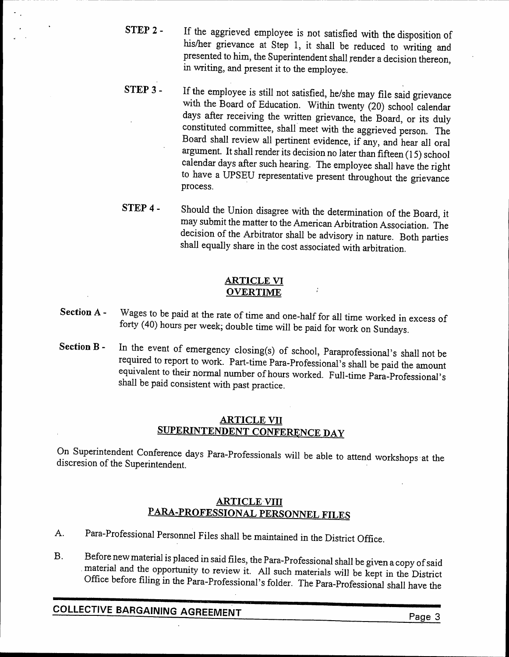- STEP <sup>2</sup> If the aggrieved employee is not satisfied with the disposition of his/her grievance at Step 1, it shall be reduced to writing and presented to him, the Superintendent shall render a decision thereon, in writing, and present it to the employee.
- STEP <sup>3</sup> If the employee is still not satisfied, he/she may file said grievance with the Board of Education. Within twenty (20) school calendar days after receiving the written grievance, the Board, or its duly constituted committee, shall'meet with the aggrieved person. The Board shall review all pertinent evidence, if any, and hear all oral argument. It shall render its decision no later than fifteen (15) school calendar days after such hearing. The employee shall have the right to have a UPSEU representative present throughout the grievance process.
- STEP <sup>4</sup> Should the Union disagree with the determination of the Board, it may submit the matter to the American Arbitration Association. The decision of the Arbitrator shall be advisory in nature. Both parties shall equally share in the cost associated with arbitration.

#### ARTICLE VI OVERTIME

- Section <sup>A</sup> Wages to be paid at the rate of time and one-half for all time worked in excess of forty (40) hours per week; double time will be paid for work on Sundays.
- Section B In the event of emergency closing(s) of school, Paraprofessional's shall not be required to report to work. Part-time Para-Professional's shall be paid the amount equivalent to their normal number of hours worked. Full-time Para-Professional's shall be paid consistent with past practice.

#### ARTICLE VII SUPERINTENDENT CONFERENCE DAY

On Superintendent Conference days Para-Professionals will be able to attend workshops 'at the discresion of the Superintendent.

#### **ARTICLE VIII** PARA-PROFESSIONAL PERSONNEL FILES

- A. Para-Professional Personnel Files shall be maintained in the District Office.
- B. Before new material is placed in said files, the Para-Professional shall be given a copy of said material and the opportunity to review it. All such materials will be kept in the District Office before filing in the Para-Professional's folder. The Para-Professional shall have the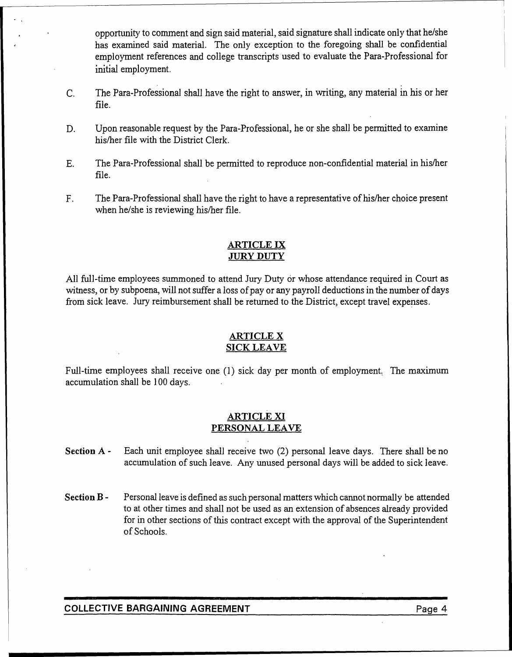opportunity to comment and sign said material, said signature shall indicate only that he/she has examined said material. The only exception to the foregoing shall be confidential employment references and college transcripts used to evaluate the Para-Professional for initial employment.

- c. . . The Para-Professional shall have the right to answer, in writing, any material in his or her file.
- D. Upon reasonable request by the Para-Professional, he or she shall be permitted to examine his/her file with the District Clerk.
- E. The Para-Professional shall be permitted to reproduce non-confidential material in his/her file.
- F. The Para-Professional shall have the right to have a representative of his/her choice present when he/she is reviewing his/her file.

#### ARTICLE IX JURY DUTY

All full-time employees summoned to attend Jury Duty or whose attendance required in Court as witness, or by subpoena, will not suffer a loss of pay or any payroll deductions in the number of days from sick leave. Jury reimbursement shall be returned to the District, except travel expenses.

#### ARTICLE X SICK LEAVE

Full-time employees shall receive one (1) sick day per month of employment. The maximum accumulation shall be 100 days.

#### ARTICLE XI PERSONAL LEAVE

- Section A Each unit employee shall receive two (2) personal leave days. There shall be no accumulation of such leave. Any unused personal days will be added to sick leave.
- Section B Personal leave is defined as such personal matters which cannot normally be attended to at other times and shall not be used as an extension of absences already provided for in other sections of this contract except with the approval of the Superintendent of Schools.

#### COLLECTIVE BARGAINING AGREEMENT FRAGE ASSESSED FOR A Page 4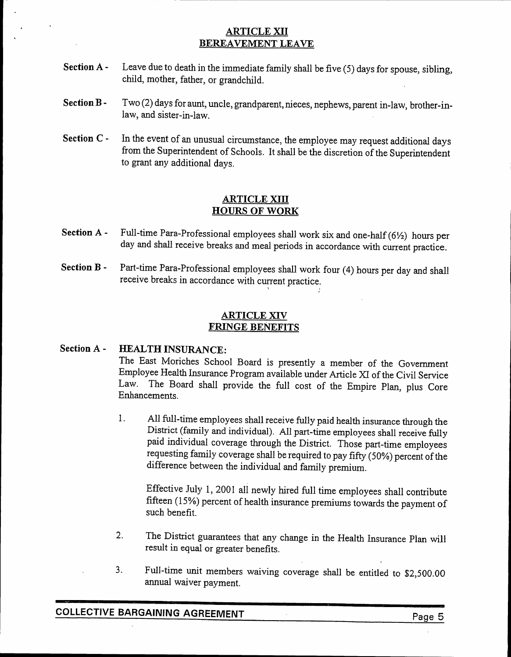#### ARTICLE XII BEREAVEMENT LEAVE

- Section  $A -$  Leave due to death in the immediate family shall be five (5) days for spouse, sibling, child, mother, father, or grandchild.
- Section  $B Tw(2)$  days for aunt, uncle, grandparent, nieces, nephews, parent in-law, brother-inlaw, and sister-in-law.
- Section C In the event of an unusual circumstance, the employee may request additional days from the Superintendent of Schools. It shall be the discretion of the Superintendent to grant any additional days.

#### ARTICLE XIII HOURS OF WORK

- Section A Full-time Para-Professional employees shall work six and one-half  $(6\frac{1}{2})$  hours per day and shall receive breaks and meal periods ih accordance with current practice.
- Section B Part-time Para-Professional employees shall work four (4) hours per day and shall receive breaks in accordance with current practice.  $\sum_{\alpha}$

#### ARTICLE XIV FRINGE BENEFITS

#### Section A - **HEALTH INSURANCE:**

The East Moriches School Board is presently a member of the Government Employee Health Insurance Program available under Article XI of the Civil Service Law. The Board shall provide the full cost of the Empire Plan, plus Core Enhancements.

1. All full-time employees shall receive fully paid health insurance through the District (family and individual). AIl part-time employees shall receive fully paid individual coverage through the District. Those part-time employees requesting family coverage shall be required to pay fifty (50%) percent of the difference between the individual and family premium.

Effective July 1, 2001 all newly hired full time employees shall contribute fifteen (15%) percent of health insurance premiums towards the payment of such benefit.

- 2. The District guarantees that any change in the Health Insurance Plan will result in equal or greater benefits.
- 3. Full-time unit members waiving coverage shall be entitled to \$2,500.00 annual waiver payment.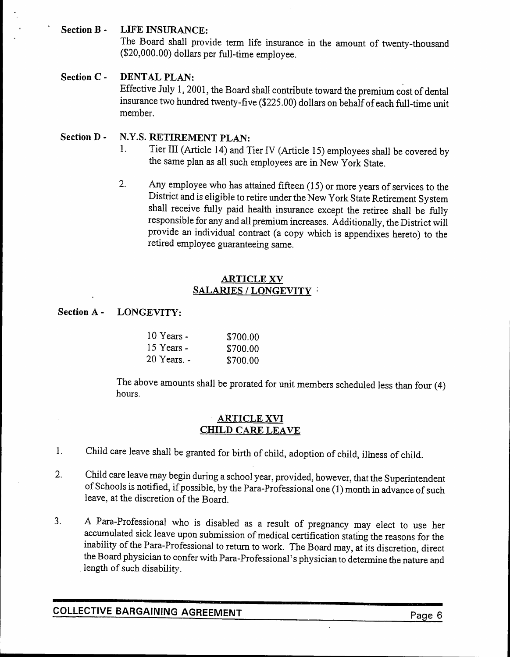#### Section B - LIFE INSURANCE:

The Board shall provide term life insurance in the amount of twenty-thousand (\$20,000.00) dollars per full-time employee.

#### Section C - DENTAL PLAN:

Effective July 1, 2001, the Board shall contribute toward the premium cost of dental insurance two hundred twenty-five (\$225.00) dollars on behalf of each full-time unit member.

#### Section D - N.Y.S. RETIREMENT PLAN:

- 1. Tier III (Article 14) and Tier IV (Article 15) employees shall be covered by the same plan as all such employees are in New York State.
- 2. Any employee who has attained fifteen (15) or more years of services to the District and is eligible to retire under the New York State Retirement System shall receive fully paid health insurance except the retiree shall be fully responsible for any and all premium increases. Additionally, the District will provide an individual contract (a copy which is appendixes hereto) to the retired employee guaranteeing same.

#### ARTICLE XV SALARIES / LONGEVITY

#### Section A - LONGEVITY:

| $10$ Years - | \$700.00 |
|--------------|----------|
| 15 Years -   | \$700.00 |
| 20 Years. -  | \$700.00 |

The above amounts shall be prorated for unit members scheduled less than four (4) hours.

#### ARTICLE XVI CHILD CARE LEAVE

- 1. Child care leave shall be granted for birth of child, adoption of child, illness of child.
- 2. Child care leave may begin during a school year, provided, however, that the Superintendent of Schools is notified, if possible, by the Para-Professional one (1) month in advance of such leave, at the discretion of the Board.
- 3. A Para-Professional who is disabled as a result of pregnancy may elect to use her accumulated sick leave upon submission of medical certification stating the reasons for the inability of the Para-Professional to return to work. The Board may, at its discretion, direct the Board physician to confer with Para-Professional's physician to determine the nature and .length of such disability.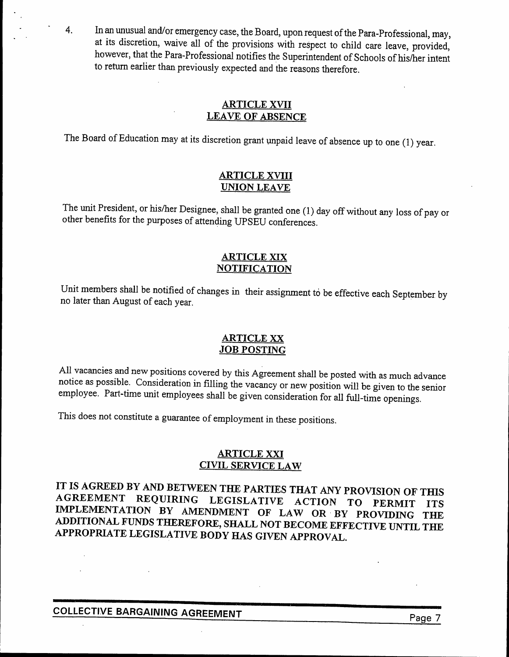4. In an unusual and/or emergency case, the Board, upon request ofthe Para-Professional, may, at its discretion, waive all of the provisions with respect to child care leave, provided, however, that the Para-Professional notifies the Superintendent of Schools of his/her intent to return earlier than previously expected and the reasons therefore.

#### ARTICLE XVII LEAVE OF ABSENCE

The Board of Education may at its discretion grant unpaid leave of absence up to one (1) year.

#### ARTICLE XVIII UNION LEAVE

The unit President, or his/her Designee, shall be granted one (1) day off without any loss of pay or other benefits for the purposes of attending UPSEU conferences.

#### ARTICLE XIX **NOTIFICATION**

Unit members shall be notified of changes in their assignment to be effective each September by no later than August of each year.

#### ARTICLE XX JOB POSTING

All vacancies and new positions covered by this Agreement shall be posted with as much advance notice as possible. Consideration in filling the vacancy or new position will be given to the senior employee. Part-time unit employees shall be given consideration for all full-time openings.

This does not constitute a guarantee of employment in these positions.

#### ARTICLE XXI CIVIL SERVICE LAW

IT IS AGREED BY AND BETWEEN THE PARTIES THAT ANY PROVISION OF THIS AGREEMENT REQUIRING LEGISLATIVE ACTION TO PERMIT ITS IMPLEMENTATION BY AMENDMENT OF LAW OR' BY PROVIDING THE ADDITIONAL FUNDS THEREFORE, SHALL NOT BECOME EFFECTIVE UNTIL THE APPROPRIATE LEGISLATIVE BODY HAS GIVEN APPROVAL.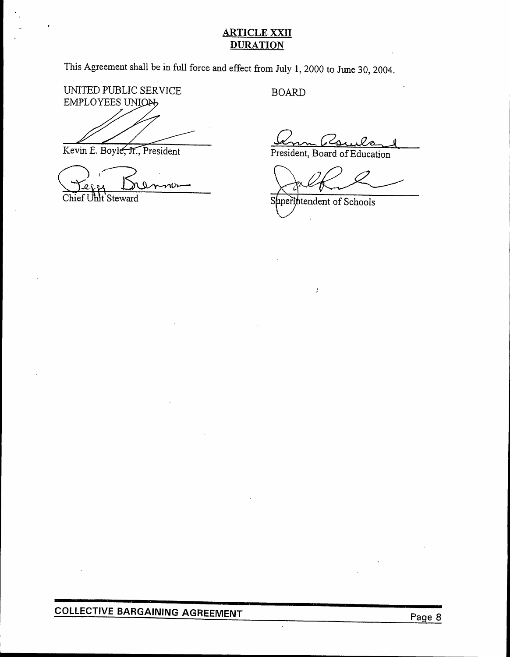#### **ARTICLE XXII DURATION**

This Agreement shall be in full force and effect from July 1,2000 to June 30, 2004.

UNITED PUBLIC SERVICE EMPLOYEES UNION,

Kevin E. Boyle, Jr., President

EXH K .

BOARD

<u>Ann Asuiland</u>

President, Board of Education

*, //0* // .  $\leftrightarrow$ 

uperintendent of Schools S

ý.

 $\ddot{\phantom{0}}$